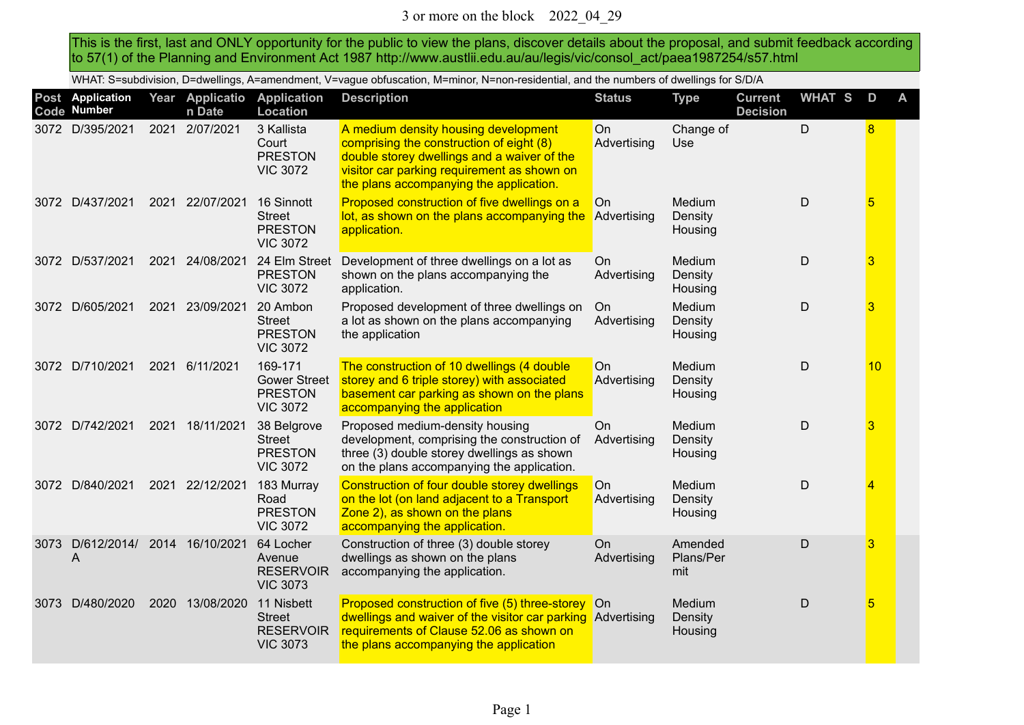This is the first, last and ONLY opportunity for the public to view the plans, discover details about the proposal, and submit feedback according to 57(1) of the Planning and Environment Act 1987 http://www.austlii.edu.au/au/legis/vic/consol\_act/paea1987254/s57.html

WHAT: S=subdivision, D=dwellings, A=amendment, V=vague obfuscation, M=minor, N=non-residential, and the numbers of dwellings for S/D/A

|      | Post Application<br>Code Number  |      | Year Applicatio<br>n Date | <b>Application</b><br>Location                                      | <b>Description</b>                                                                                                                                                                                                        | <b>Status</b>            | <b>Type</b>                  | <b>Current</b><br><b>Decision</b> | <b>WHAT S</b> | D               | A |
|------|----------------------------------|------|---------------------------|---------------------------------------------------------------------|---------------------------------------------------------------------------------------------------------------------------------------------------------------------------------------------------------------------------|--------------------------|------------------------------|-----------------------------------|---------------|-----------------|---|
|      | 3072 D/395/2021                  | 2021 | 2/07/2021                 | 3 Kallista<br>Court<br><b>PRESTON</b><br><b>VIC 3072</b>            | A medium density housing development<br>comprising the construction of eight (8)<br>double storey dwellings and a waiver of the<br>visitor car parking requirement as shown on<br>the plans accompanying the application. | On<br>Advertising        | Change of<br>Use             |                                   | D             | 8               |   |
|      | 3072 D/437/2021                  | 2021 | 22/07/2021                | 16 Sinnott<br><b>Street</b><br><b>PRESTON</b><br><b>VIC 3072</b>    | Proposed construction of five dwellings on a<br>lot, as shown on the plans accompanying the<br>application.                                                                                                               | <b>On</b><br>Advertising | Medium<br>Density<br>Housing |                                   | D             | $5\overline{)}$ |   |
|      | 3072 D/537/2021                  | 2021 | 24/08/2021                | 24 Elm Street<br><b>PRESTON</b><br><b>VIC 3072</b>                  | Development of three dwellings on a lot as<br>shown on the plans accompanying the<br>application.                                                                                                                         | On<br>Advertising        | Medium<br>Density<br>Housing |                                   | D             | 3               |   |
|      | 3072 D/605/2021                  | 2021 | 23/09/2021                | 20 Ambon<br><b>Street</b><br><b>PRESTON</b><br><b>VIC 3072</b>      | Proposed development of three dwellings on<br>a lot as shown on the plans accompanying<br>the application                                                                                                                 | On<br>Advertising        | Medium<br>Density<br>Housing |                                   | D             | 3               |   |
|      | 3072 D/710/2021                  | 2021 | 6/11/2021                 | 169-171<br><b>Gower Street</b><br><b>PRESTON</b><br><b>VIC 3072</b> | The construction of 10 dwellings (4 double<br>storey and 6 triple storey) with associated<br>basement car parking as shown on the plans<br>accompanying the application                                                   | <b>On</b><br>Advertising | Medium<br>Density<br>Housing |                                   | D             | 10              |   |
|      | 3072 D/742/2021                  | 2021 | 18/11/2021                | 38 Belgrove<br><b>Street</b><br><b>PRESTON</b><br><b>VIC 3072</b>   | Proposed medium-density housing<br>development, comprising the construction of<br>three (3) double storey dwellings as shown<br>on the plans accompanying the application.                                                | <b>On</b><br>Advertising | Medium<br>Density<br>Housing |                                   | D             | $\overline{3}$  |   |
|      | 3072 D/840/2021                  | 2021 | 22/12/2021                | 183 Murray<br>Road<br><b>PRESTON</b><br><b>VIC 3072</b>             | Construction of four double storey dwellings<br>on the lot (on land adjacent to a Transport<br>Zone 2), as shown on the plans<br>accompanying the application.                                                            | On.<br>Advertising       | Medium<br>Density<br>Housing |                                   | D             | $\overline{4}$  |   |
| 3073 | D/612/2014/ 2014 16/10/2021<br>A |      |                           | 64 Locher<br>Avenue<br><b>RESERVOIR</b><br><b>VIC 3073</b>          | Construction of three (3) double storey<br>dwellings as shown on the plans<br>accompanying the application.                                                                                                               | On<br>Advertising        | Amended<br>Plans/Per<br>mit  |                                   | D             | 3               |   |
| 3073 | D/480/2020                       | 2020 | 13/08/2020                | 11 Nisbett<br><b>Street</b><br><b>RESERVOIR</b><br><b>VIC 3073</b>  | Proposed construction of five (5) three-storey On<br>dwellings and waiver of the visitor car parking Advertising<br>requirements of Clause 52.06 as shown on<br>the plans accompanying the application                    |                          | Medium<br>Density<br>Housing |                                   | D             | 5               |   |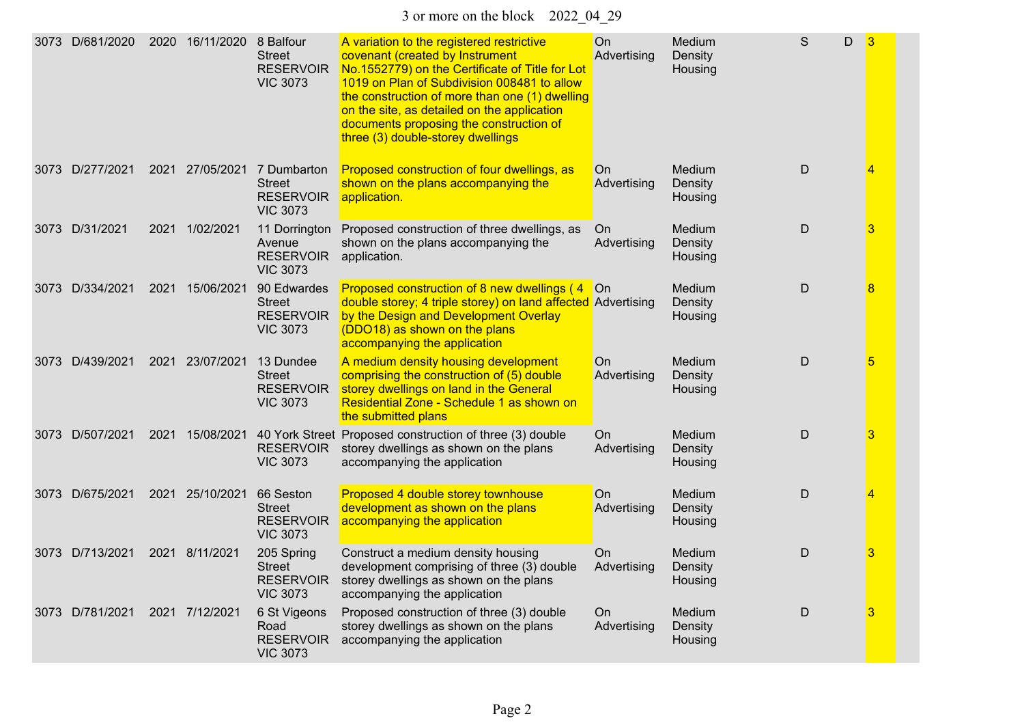3 or more on the block 2022\_04\_29

| 3073 | D/681/2020      |      | 2020 16/11/2020 | 8 Balfour<br><b>Street</b><br><b>RESERVOIR</b><br><b>VIC 3073</b>   | A variation to the registered restrictive<br>covenant (created by Instrument<br>No.1552779) on the Certificate of Title for Lot<br>1019 on Plan of Subdivision 008481 to allow<br>the construction of more than one (1) dwelling<br>on the site, as detailed on the application<br>documents proposing the construction of<br>three (3) double-storey dwellings | On<br>Advertising  | Medium<br>Density<br>Housing | S           | D | 3 |
|------|-----------------|------|-----------------|---------------------------------------------------------------------|-----------------------------------------------------------------------------------------------------------------------------------------------------------------------------------------------------------------------------------------------------------------------------------------------------------------------------------------------------------------|--------------------|------------------------------|-------------|---|---|
|      | 3073 D/277/2021 |      | 2021 27/05/2021 | 7 Dumbarton<br><b>Street</b><br><b>RESERVOIR</b><br><b>VIC 3073</b> | Proposed construction of four dwellings, as<br>shown on the plans accompanying the<br>application.                                                                                                                                                                                                                                                              | On<br>Advertising  | Medium<br>Density<br>Housing | D           |   | 4 |
|      | 3073 D/31/2021  |      | 2021 1/02/2021  | 11 Dorrington<br>Avenue<br><b>RESERVOIR</b><br><b>VIC 3073</b>      | Proposed construction of three dwellings, as<br>shown on the plans accompanying the<br>application.                                                                                                                                                                                                                                                             | On.<br>Advertising | Medium<br>Density<br>Housing | $\mathsf D$ |   | 3 |
|      | 3073 D/334/2021 | 2021 | 15/06/2021      | 90 Edwardes<br><b>Street</b><br><b>RESERVOIR</b><br><b>VIC 3073</b> | Proposed construction of 8 new dwellings (4<br>double storey; 4 triple storey) on land affected Advertising<br>by the Design and Development Overlay<br>(DDO18) as shown on the plans<br>accompanying the application                                                                                                                                           | <b>On</b>          | Medium<br>Density<br>Housing | D           |   | 8 |
|      | 3073 D/439/2021 | 2021 | 23/07/2021      | 13 Dundee<br><b>Street</b><br><b>RESERVOIR</b><br><b>VIC 3073</b>   | A medium density housing development<br>comprising the construction of (5) double<br>storey dwellings on land in the General<br>Residential Zone - Schedule 1 as shown on<br>the submitted plans                                                                                                                                                                | On<br>Advertising  | Medium<br>Density<br>Housing | $\mathsf D$ |   | 5 |
|      | 3073 D/507/2021 | 2021 | 15/08/2021      | <b>RESERVOIR</b><br><b>VIC 3073</b>                                 | 40 York Street Proposed construction of three (3) double<br>storey dwellings as shown on the plans<br>accompanying the application                                                                                                                                                                                                                              | On<br>Advertising  | Medium<br>Density<br>Housing | $\mathsf D$ |   | 3 |
|      | 3073 D/675/2021 |      | 2021 25/10/2021 | 66 Seston<br><b>Street</b><br><b>RESERVOIR</b><br><b>VIC 3073</b>   | Proposed 4 double storey townhouse<br>development as shown on the plans<br>accompanying the application                                                                                                                                                                                                                                                         | On<br>Advertising  | Medium<br>Density<br>Housing | D           |   | 4 |
|      | 3073 D/713/2021 |      | 2021 8/11/2021  | 205 Spring<br><b>Street</b><br><b>RESERVOIR</b><br><b>VIC 3073</b>  | Construct a medium density housing<br>development comprising of three (3) double<br>storey dwellings as shown on the plans<br>accompanying the application                                                                                                                                                                                                      | On<br>Advertising  | Medium<br>Density<br>Housing | D           |   | 3 |
|      | 3073 D/781/2021 |      | 2021 7/12/2021  | 6 St Vigeons<br>Road<br><b>RESERVOIR</b><br><b>VIC 3073</b>         | Proposed construction of three (3) double<br>storey dwellings as shown on the plans<br>accompanying the application                                                                                                                                                                                                                                             | On<br>Advertising  | Medium<br>Density<br>Housing | $\mathsf D$ |   | 3 |